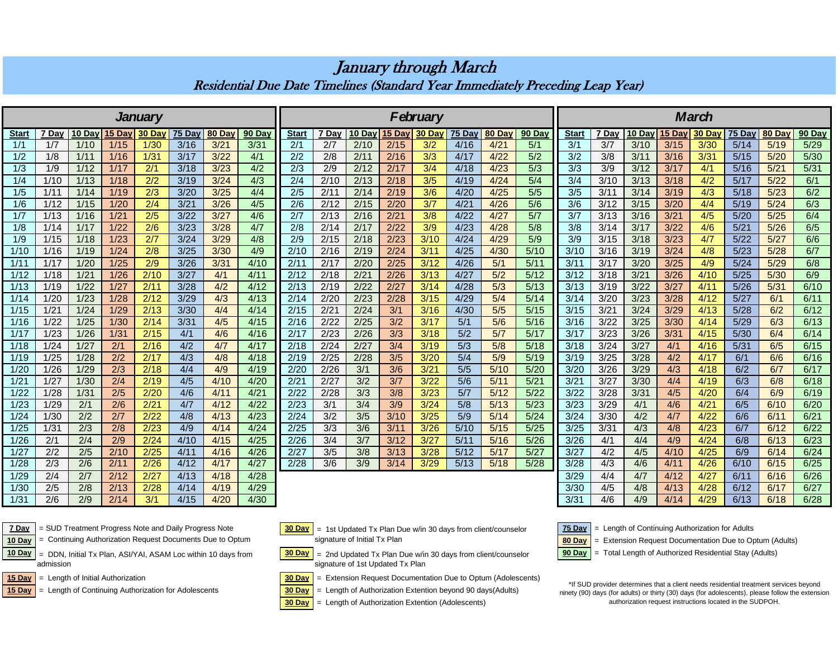|                |       |        |        |        |        |               |                |                  |       |      |               |          |                  |                  | March            |                  |       |               |      |       |        |        |        |  |
|----------------|-------|--------|--------|--------|--------|---------------|----------------|------------------|-------|------|---------------|----------|------------------|------------------|------------------|------------------|-------|---------------|------|-------|--------|--------|--------|--|
| <b>January</b> |       |        |        |        |        |               |                |                  |       |      |               | February |                  |                  |                  |                  |       |               |      |       |        |        |        |  |
| <b>Start</b>   | 7 Dav | 10 Day | 15 Day | 30 Day | 75 Day | <b>80 Day</b> | 90 Day         | <b>Start</b>     | 7 Day |      | 10 Day 15 Day | $30$ Day | <b>75 Day</b>    | 80 Day           | 90 Day           | <b>Start</b>     | 7 Day | 10 Day 15 Day |      | 30 Da | 75 Day | 80 Day | 90 Day |  |
| 1/1            | 1/7   | 1/10   | 1/15   | 1/30   | 3/16   | 3/21          | $\frac{3}{31}$ | 2/1              | 2/7   | 2/10 | 2/15          | 3/2      | 4/16             | 4/21             | 5/1              | 3/1              | 3/7   | 3/10          | 3/15 | 3/30  | 5/14   | 5/19   | 5/29   |  |
| 1/2            | 1/8   | 1/11   | 1/16   | 1/31   | 3/17   | 3/22          | 4/1            | 2/2              | 2/8   | 2/11 | 2/16          | 3/3      | 4/17             | 4/22             | 5/2              | 3/2              | 3/8   | 3/11          | 3/16 | 3/31  | 5/15   | 5/20   | 5/30   |  |
| 1/3            | 1/9   | 1/12   | 1/17   | 2/1    | 3/18   | 3/23          | 4/2            | 2/3              | 2/9   | 2/12 | 2/17          | 3/4      | 4/18             | 4/23             | $\overline{5/3}$ | $\overline{3/3}$ | 3/9   | 3/12          | 3/17 | 4/1   | 5/16   | 5/21   | 5/31   |  |
| 1/4            | 1/10  | 1/13   | 1/18   | 2/2    | 3/19   | 3/24          | 4/3            | $\overline{2/4}$ | 2/10  | 2/13 | 2/18          | 3/5      | 4/19             | 4/24             | 5/4              | $\overline{3/4}$ | 3/10  | 3/13          | 3/18 | 4/2   | 5/17   | 5/22   | 6/1    |  |
| 1/5            | 1/11  | 1/14   | 1/19   | 2/3    | 3/20   | 3/25          | 4/4            | $\overline{2/5}$ | 2/11  | 2/14 | 2/19          | 3/6      | 4/20             | 4/25             | 5/5              | 3/5              | 3/11  | 3/14          | 3/19 | 4/3   | 5/18   | 5/23   | 6/2    |  |
| 1/6            | 1/12  | 1/15   | 1/20   | 2/4    | 3/21   | 3/26          | 4/5            | 2/6              | 2/12  | 2/15 | 2/20          | 3/7      | 4/21             | 4/26             | 5/6              | 3/6              | 3/12  | 3/15          | 3/20 | 4/4   | 5/19   | 5/24   | 6/3    |  |
| 1/7            | 1/13  | 1/16   | 1/21   | 2/5    | 3/22   | 3/27          | 4/6            | 2/7              | 2/13  | 2/16 | 2/21          | 3/8      | 4/22             | 4/27             | 5/7              | 3/7              | 3/13  | 3/16          | 3/21 | 4/5   | 5/20   | 5/25   | 6/4    |  |
| 1/8            | 1/14  | 1/17   | 1/22   | 2/6    | 3/23   | 3/28          | 4/7            | 2/8              | 2/14  | 2/17 | 2/22          | 3/9      | 4/23             | 4/28             | 5/8              | 3/8              | 3/14  | 3/17          | 3/22 | 4/6   | 5/21   | 5/26   | 6/5    |  |
| 1/9            | 1/15  | 1/18   | 1/23   | 2/7    | 3/24   | 3/29          | 4/8            | 2/9              | 2/15  | 2/18 | 2/23          | 3/10     | 4/24             | 4/29             | 5/9              | 3/9              | 3/15  | 3/18          | 3/23 | 4/7   | 5/22   | 5/27   | 6/6    |  |
| 1/10           | 1/16  | 1/19   | 1/24   | 2/8    | 3/25   | 3/30          | 4/9            | 2/10             | 2/16  | 2/19 | 2/24          | 3/11     | 4/25             | 4/30             | 5/10             | 3/10             | 3/16  | 3/19          | 3/24 | 4/8   | 5/23   | 5/28   | 6/7    |  |
| 1/11           | 1/17  | 1/20   | 1/25   | 2/9    | 3/26   | 3/31          | 4/10           | 2/11             | 2/17  | 2/20 | 2/25          | 3/12     | 4/26             | 5/1              | 5/11             | 3/11             | 3/17  | 3/20          | 3/25 | 4/9   | 5/24   | 5/29   | 6/8    |  |
| 1/12           | 1/18  | 1/21   | 1/26   | 2/10   | 3/27   | 4/1           | 4/11           | 2/12             | 2/18  | 2/21 | 2/26          | 3/13     | 4/27             | 5/2              | 5/12             | 3/12             | 3/18  | 3/21          | 3/26 | 4/10  | 5/25   | 5/30   | 6/9    |  |
| 1/13           | 1/19  | 1/22   | 1/27   | 2/11   | 3/28   | 4/2           | 4/12           | 2/13             | 2/19  | 2/22 | 2/27          | 3/14     | 4/28             | $\overline{5/3}$ | 5/13             | 3/13             | 3/19  | 3/22          | 3/27 | 4/11  | 5/26   | 5/31   | 6/10   |  |
| 1/14           | 1/20  | 1/23   | 1/28   | 2/12   | 3/29   | 4/3           | 4/13           | 2/14             | 2/20  | 2/23 | 2/28          | 3/15     | 4/29             | 5/4              | 5/14             | 3/14             | 3/20  | 3/23          | 3/28 | 4/12  | 5/27   | 6/1    | 6/11   |  |
| 1/15           | 1/21  | 1/24   | 1/29   | 2/13   | 3/30   | 4/4           | 4/14           | 2/15             | 2/21  | 2/24 | 3/1           | 3/16     | 4/30             | 5/5              | 5/15             | 3/15             | 3/21  | 3/24          | 3/29 | 4/13  | 5/28   | 6/2    | 6/12   |  |
| 1/16           | 1/22  | 1/25   | 1/30   | 2/14   | 3/31   | 4/5           | 4/15           | 2/16             | 2/22  | 2/25 | 3/2           | 3/17     | 5/1              | 5/6              | 5/16             | 3/16             | 3/22  | 3/25          | 3/30 | 4/14  | 5/29   | 6/3    | 6/13   |  |
| 1/17           | 1/23  | 1/26   | 1/31   | 2/15   | 4/1    | 4/6           | 4/16           | 2/17             | 2/23  | 2/26 | 3/3           | 3/18     | 5/2              | 5/7              | 5/17             | 3/17             | 3/23  | 3/26          | 3/31 | 4/15  | 5/30   | 6/4    | 6/14   |  |
| 1/18           | 1/24  | 1/27   | 2/1    | 2/16   | 4/2    | 4/7           | 4/17           | 2/18             | 2/24  | 2/27 | 3/4           | 3/19     | $\overline{5/3}$ | 5/8              | 5/18             | 3/18             | 3/24  | 3/27          | 4/1  | 4/16  | 5/31   | 6/5    | 6/15   |  |
| 1/19           | 1/25  | 1/28   | 2/2    | 2/17   | 4/3    | 4/8           | 4/18           | 2/19             | 2/25  | 2/28 | 3/5           | 3/20     | 5/4              | 5/9              | 5/19             | 3/19             | 3/25  | 3/28          | 4/2  | 4/17  | 6/1    | 6/6    | 6/16   |  |
| 1/20           | 1/26  | 1/29   | 2/3    | 2/18   | 4/4    | 4/9           | 4/19           | 2/20             | 2/26  | 3/1  | 3/6           | 3/21     | 5/5              | 5/10             | 5/20             | 3/20             | 3/26  | 3/29          | 4/3  | 4/18  | 6/2    | 6/7    | 6/17   |  |
| 1/21           | 1/27  | 1/30   | 2/4    | 2/19   | 4/5    | 4/10          | 4/20           | 2/21             | 2/27  | 3/2  | 3/7           | 3/22     | 5/6              | 5/11             | 5/21             | $\frac{3}{21}$   | 3/27  | 3/30          | 4/4  | 4/19  | 6/3    | 6/8    | 6/18   |  |
| 1/22           | 1/28  | 1/31   | 2/5    | 2/20   | 4/6    | 4/11          | 4/21           | 2/22             | 2/28  | 3/3  | 3/8           | 3/23     | 5/7              | 5/12             | $5/22$           | 3/22             | 3/28  | 3/31          | 4/5  | 4/20  | 6/4    | 6/9    | 6/19   |  |
| 1/23           | 1/29  | 2/1    | 2/6    | 2/21   | 4/7    | 4/12          | 4/22           | 2/23             | 3/1   | 3/4  | 3/9           | 3/24     | 5/8              | 5/13             | 5/23             | 3/23             | 3/29  | 4/1           | 4/6  | 4/21  | 6/5    | 6/10   | 6/20   |  |
| 1/24           | 1/30  | 2/2    | 2/7    | 2/22   | 4/8    | 4/13          | 4/23           | 2/24             | 3/2   | 3/5  | 3/10          | 3/25     | 5/9              | 5/14             | 5/24             | 3/24             | 3/30  | 4/2           | 4/7  | 4/22  | 6/6    | 6/11   | 6/21   |  |
| 1/25           | 1/31  | 2/3    | 2/8    | 2/23   | 4/9    | 4/14          | 4/24           | 2/25             | 3/3   | 3/6  | 3/11          | 3/26     | 5/10             | 5/15             | $5/25$           | 3/25             | 3/31  | 4/3           | 4/8  | 4/23  | 6/7    | 6/12   | 6/22   |  |
| 1/26           | 2/1   | 2/4    | 2/9    | 2/24   | 4/10   | 4/15          | 4/25           | 2/26             | 3/4   | 3/7  | 3/12          | 3/27     | 5/11             | 5/16             | 5/26             | 3/26             | 4/1   | 4/4           | 4/9  | 4/24  | 6/8    | 6/13   | 6/23   |  |
| 1/27           | 2/2   | 2/5    | 2/10   | 2/25   | 4/11   | 4/16          | 4/26           | 2/27             | 3/5   | 3/8  | 3/13          | 3/28     | 5/12             | 5/17             | 5/27             | 3/27             | 4/2   | 4/5           | 4/10 | 4/25  | 6/9    | 6/14   | 6/24   |  |
| 1/28           | 2/3   | 2/6    | 2/11   | 2/26   | 4/12   | 4/17          | 4/27           | 2/28             | 3/6   | 3/9  | 3/14          | 3/29     | 5/13             | 5/18             | 5/28             | 3/28             | 4/3   | 4/6           | 4/11 | 4/26  | 6/10   | 6/15   | 6/25   |  |
| 1/29           | 2/4   | 2/7    | 2/12   | 2/27   | 4/13   | 4/18          | 4/28           |                  |       |      |               |          |                  |                  |                  | 3/29             | 4/4   | 4/7           | 4/12 | 4/27  | 6/11   | 6/16   | 6/26   |  |
| 1/30           | 2/5   | 2/8    | 2/13   | 2/28   | 4/14   | 4/19          | 4/29           |                  |       |      |               |          |                  |                  |                  | 3/30             | 4/5   | 4/8           | 4/13 | 4/28  | 6/12   | 6/17   | 6/27   |  |
| 1/31           | 2/6   | 2/9    | 2/14   | 3/1    | 4/15   | 4/20          | 4/30           |                  |       |      |               |          |                  |                  |                  | 3/31             | 4/6   | 4/9           | 4/14 | 4/29  | 6/13   | 6/18   | 6/28   |  |

## January through March Residential Due Date Timelines (Standard Year Immediately Preceding Leap Year)



**7 Day** | SUD Treatment Progress Note and Daily Progress Note | 30 Day | = 1st Updated Tx Plan Due w/in 30 days from client/counselor | 75 Day | = Length of Continuing Authorization for Adults = Continuing Authorization Request Documents Due to Optum

 = DDN, Initial Tx Plan, ASI/YAI, ASAM Loc within 10 days from admission

15 Day = Length of Continuing Authorization for Adolescents **30 Day** = Length of Authorization Extention beyond 90 days(Adults) = Length of Continuing Authorization for Adolescents



10 Day = Continuing Authorization Request Documents Due to Optum signature of Initial Tx Plan **10 Day** = Extension Request Documentation Due to Optum (Adults) signature of Initial Tx Plan

10 Day | = DDN, Initial Tx Plan, ASI/YAI, ASAM Loc within 10 days from | 30 Day | = 2nd Updated Tx Plan Due w/in 30 days from client/counselor | 90 Day | = Total Length of Authorized Residential Stay (Adults) signature of 1st Updated Tx Plan

15 Day = Length of Initial Authorization **30 Day = Extension Request Documentation Due to Optum (Adolescents)** 



**30 Day** = Length of Authorization Extention (Adolescents)



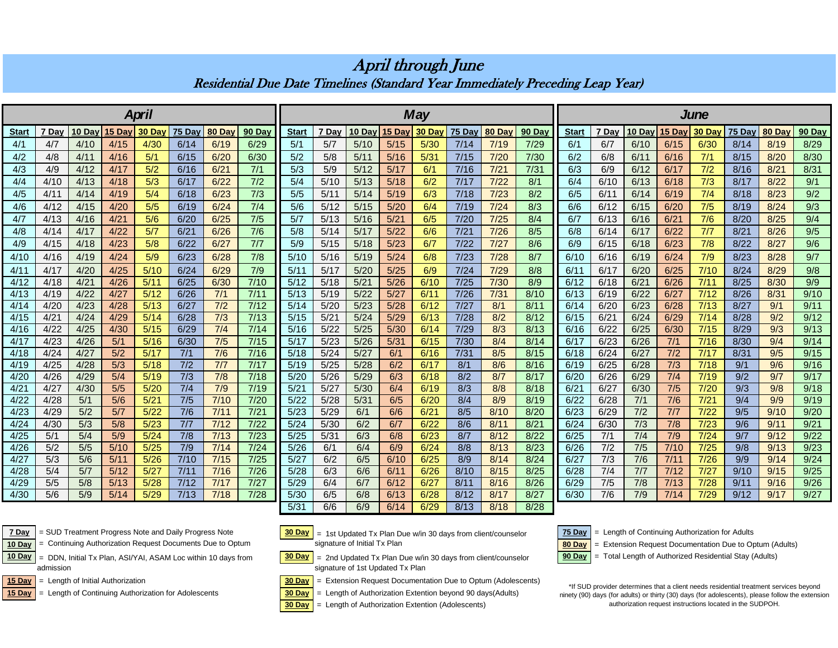<u>Start | 7 Day |10 Day| 15 Day| 30 Day| 75 Day | 80 Day | 90 Day || Start | 7 Day |10 Day| 5 Day| 30 Day | 80 Day | 90 Day || Start | 7 Day |10 Day <mark>|15 Day| 30 Day | 75 Day | 80 Day | 90 Day</mark> | 90 Day</u> 4/1 | 4/7 | 4/10 | 4/15 | 4<mark>/30 | 6/14 | 6/19 | 6/29 |</mark> 5/1 | 5/7 | 5/10 | 5/15 | 5/30 | 7/14 | 7/19 | 7/29 | 6/1 | 6/1 | 6/7 | 6/10 | 6/15 | 6/30 | 8/14 | 8/19 | 8/29 4/2 | 4/8 | 4/11 | 4/16 | 5/1 | 6/15 | 6/20 | 6/30 || 5/2 | 5/8 | 5/11 | 5/16 | 5/31 | 7/15 | 7/20 | 7/30 || 6/2 | 6/8 | 6/11 | 6/16 | 7/1 | 8/15 | 8/20 | 8/30 4/3 | 4/9 | 4/12 | 4/17 | 5/2 | 6/16 | 6/21 | 7/1 || 5/3 | 5/9 | 5/12 | 5/17 | 6/1 | 7/16 | 7/21 | 7/31 || 6/3 | 6/9 | 6/12 | 6/17 | 7/2 | 8/16 | 8/21 | 8/31 4/4 | 4/10 | 4/13 | 4/18 | 5/3 | 6/17 | 6/22 | 7/2 || 5/4 | 5/10 | 5/13 | 5/18 | 6/2 | 7/17 | 7/22 | 8/1 || 6/4 | 6/10 | 6/13 | 6/18 | 7/3 | 8/17 | 8/22 | 9/1 4/5 | 4/11 | 4/14 | 4/19 | 5/4 | 6/18 | 6/23 | 7/3 || 5/5 | 5/11 | 5/14 | 5/19 | 6/3 | 7/18 | 7/23 | 8/2 || 6/5 | 6/11 | 6/14 | 6/19 | 7/4 | 8/18 | 8/23 | 9/2 4/6 | 4/12 | 4/15 | 4/20 | 5/5 | 6/19 | 6/24 | 7/4 || 5/6 | 5/12 | 5/15 | 5/20 | 6/4 | 7/19 | 7/24 | 8/3 || 6/6 | 6/12 | 6/15 | 6/20 | 7/5 | 8/19 | 8/24 | 9/3 4/7 | 4/13 | 4/16 | 4/21 | 5/6 | 6/20 | 6/25 | 7/5 || 5/7 | 5/13 | 5/16 | 5/21 | 6/5 | 7/20 | 7/25 | 8/4 || 6/7 | 6/13 | 6/16 | 6/21 | 7/6 | 8/20 | 8/25 | 9/4 4/8 | 4/14 | 4/17 | 4/22 | 5/7 | 6/21 | 6/26 | 7/6 || 5/8 | 5/14 | 5/17 | 5/22 | 6/6 | 7/21 | 7/26 | 8/5 || 6/8 | 6/14 | 6/17 | 6/22 | 7/7 | 8/21 | 8/26 | 9/5 4/9 | 4/15 | 4/18 | 4/23 | 5/8 | 6/22 | 6/27 | 7/7 || 5/9 | 5/15 | 5/18 | 5/23 | 6/7 | 7/22 | 7/27 | 8/6 || 6/9 | 6/15 | 6/18 | 6/23 | 7/8 | 8/22 | 8/27 | 9/6 4/10 | 4/16 | 4/19 | 4/24 | 5/9 | 6/23 | 6/28 | 7/8 || 5/10 | 5/16 | 5/19 | 5/24 | 6/8 | 7/23 | 7/28 | 8/7 || 6/10 | 6/16 | 6/19 | 6/24 | 7/9 | 8/23 | 8/28 | 9/7 4/11 | 4/17 | 4/20 | 4/25 | 5/10 | 6/24 | 6/29 | 7/9 || 5/11 | 5/17 | 5/20 | 5/25 | 6/9 | 7/24 | 7/29 | 8/8 || 6/11 | 6/17 | 6/20 | 6/25 | 7/10 | 8/24 | 8/29 | 9/8 4/12 | 4/18 | 4/21 | 4/26 | 5/11 | 6/25 | 6/30 | 7/10 || 5/12 | 5/18 | 5/21 | 5/26 | 6/10 | 7/25 | 7/30 | 8/9 || 6/12 | 6/18 | 6/21 | 6/26 | 7/11 | 8/25 | 8/30 | 9/9 4/13 | 4/19 | 4/22 | 4/27 | 5/12 | 6/26 | 7/1 | 7/11 || 5/13 | 5/19 | 5/22 <mark>| 5/27 | 6/11</mark> | 7/26 | 7/31 | 8/10 || 6/13 | 6/19 | 6/22 | 6/27 | 7/12 | 8/26 | 8/31 | 9/10 4/14 | 4/20 | 4/23 | 4/28 | 5/13 | 6/27 | 7/2 | 7/12 || 5/14 | 5/20 | 5/23 <mark>| 5/28 | 6/12</mark> | 7/27 | 8/1 | 8/11 || 6/14 | 6/20 | 6/23 | 6/28 | 7/13 | 8/27 | 9/1 | 9/11 4/15 | 4/21 | 4/24 | 4/29 | 5/14 | 6/28 | 7/3 | 7/13 || 5/15 | 5/21 | 5/24 <mark>| 5/29 | 6/13 |</mark> 7/28 | 8/2 | 8/12 || 6/15 | 6/21 | 6/24 | 6/29 | 7/14 | 8/28 | 9/2 | 9/12 4/16 | 4/22 | 4/25 | 4/30 | <mark>5/15 | 6/29 | 7/4 | 7/14 || 5</mark>/16 | 5/22 | <mark>5/25 | 5/30 | 6/14 |</mark> 7/29 | 8/3 | 8/13 || 6/16 | 6/22 | 6/25 | 6/30 | 7/15 | 8/29 | 9/3 | 9/13 4/17 | 4/23 | 4/26 | 5/1 | 5/16 | 6/30 | 7/5 | 7/15 || 5/17 | 5/23 | 5/26 <mark>| 5/31 | 6/15</mark> | 7/30 | 8/4 | 8/14 || 6/17 | 6/23 | 6/26 | 7/1 | 7/16 | 8/30 | 9/4 | 9/14 4/18 | 4/24 | 4/27 | 5/2 | 5/17 | 7/1 | 7/6 | 7/16 || 5/18 | 5/24 | 5/27 | 6/1 | 6/16 | 7/31 | 8/5 | 8/15 || 6/18 | 6/24 | 6/27 | 7/2 | 7/17 | 8/31 | 9/5 | 9/15 4/19 | 4/25 | 4/28 | 5/3 | 5/18 | 7/2 | 7/7 | 7/17 || 5/19 | 5/25 | 5/28 | 6/2 | 6/17 | 8/1 | 8/6 | 8/16 || 6/19 | 6/25 | 6/28 | 7/3 | 7/18 | 9/1 | 9/6 | 9/16 4/20 | 4/26 | 4/29 | 5/4 | <mark>5/19 | 7/3 | 7/8 |</mark> 7/18 || 5/20 | 5/26 | 5/29 <mark>| 6/3 | 6/18 | 8/2 | 8/7 | 8/17 || 6</mark>/20 | 6/26 | 6/29 | 7/4 | 7/19 | 9/2 | 9/7 | 9/17 4/21 | 4/27 | 4/30 | 5/5 | <mark>5/20 | 7/4 | 7/9 |</mark> 7/19 || 5/21 | 5/27 | 5/30 | 6/4 | 6/19 | 8/3 | 8/8 | 8/18 || 6/21 | 6/27 | 6/30 | 7/5 | 7/20 | 9/3 | 9/8 | 9/18 4/22 | 4/28 | 5/1 | 5/6 | <mark>5/21 | 7/5 | 7/10 | 7/20 || 5</mark>/22 | 5/28 | 5/31 <mark>| 6/5 | 6/20 | 8/4 | 8/9 | 8/19 ||</mark> 6/22 | 6/28 | 7/1 | 7/6 | 7/<mark>21 | 9/4 | 9/9 | 9/19</mark> 4/23 | 4/29 | 5/2 | 5/7 | <mark>5/22 | 7/6 | 7/11 | 7/21 || 5/23 | 5/29 | 6/1 | 6/6 | 6/21 | 8/5 | 8/10 | 6/20 || 6/23 | 6/29 | 7/2 | 7/7 | 7/22 | 9/5 | 9/10 | 9/20</mark> 4/24 | 4/30 | 5/3 | 5/8 | <mark>5/23 | 7/7 | 7/12 | 7/22 ||</mark> 5/24 | 5/30 | 6/2 | 6/**7 | 6/22 | 8/6 | 8/11 | 6/21 || 6/24** | 6/30 | 7/3 | 7/8 | 7/23 | 9/6 | 9/11 | 9/21 4/25 | 5/1 | 5/4 | 5/9 | <mark>5/24 | 7/8 | 7/13 | 7/23 ||</mark> 5/25 | 5/31 | 6/3 | 6/8 | 6/23 | 8/7 | 8/12 | 8/22 || 6/25 | 7/1 | 7/4 | 7/9 | 7/24 | 9/7 | 9/12 | 9/22 4/26 | 5/2 | 5/5 | 5/10 | <mark>5/25 | 7/9 | 7/14 | 7/24 || 5/26 | 6/1 | 6/4 | 6/9 | 6/24 | 8/8 | 8/13 | 8/23 || 6/26 | 7/2 | 7/5 | 7/10 | 7/25 | 9/8 | 9/13 | 9/23</mark> 4/27 | 5/3 | 5/6 | 5/11 | <mark>5/26 | 7/10 | 7/15 | 7/25 ||</mark> 5/27 | 6/2 | 6/5 <mark>| 6/10 | 6/25 |</mark> 8/9 | <mark>8/14 | 8/24 ||</mark> 6/27 | 7/3 | 7/6 | 7/11 | 7/26 | 9/9 | 9/14 | 9/24 4/28 | 5/4 | 5/7 | 5/12 | <mark>5/27 | 7/11 | 7/16 | 7/26 ||</mark> 5/28 | 6/3 | 6/6 <mark>| 6/11 | 6/26 |</mark> 8/10 | 8<mark>/15 |</mark> 6/28 | 7/4 | 7/7 | 7/12 | 7/27 | 9/10 | 9/15 | 9/25 4/29 | 5/5 | 5/8 | 5/13 | <mark>5/28 | 7/12 | 7/17 | 7/27 ||</mark> 5/29 | 6/4 | 6/7 | <mark>6/12 | 6/27 |</mark> 8/11 | 8/16 | 8/26 || 6/29 | 7/5 | 7/8 | 7/13 | 7/28 | 9/11 | 9/16 | 9/26 4/30 | 5/6 | 5/9 | 5/14 | <mark>5/29 | 7/13 | 7/18 | 7/28 ||</mark> 5/30 | 6/5 | 6/8 | <mark>6/13 | 6/28 |</mark> 8/12 | 8/17 | 6/30 | 7/6 | 7/9 | 7/14 | 7/29 | 9/12 | 9/17 | 9/27 *April May June*

April through June Residential Due Date Timelines (Standard Year Immediately Preceding Leap Year)

= Continuing Authorization Request Documents Due to Optum

 = DDN, Initial Tx Plan, ASI/YAI, ASAM Loc within 10 days from admission

= Length of Continuing Authorization for Adolescents



**7 Day** | SUD Treatment Progress Note and Daily Progress Note | 30 Day | = 1st Updated Tx Plan Due w/in 30 days from client/counselor | 75 Day | = Length of Continuing Authorization for Adults 10 Day = Continuing Authorization Request Documents Due to Optum signature of Initial Tx Plan signature of Initial Tx Plan

5/31 | 6/6 | 6/9 | 6/14 | 6/29 | 8/13 | 8/18 | 8/28

10 Day | = DDN, Initial Tx Plan, ASI/YAI, ASAM Loc within 10 days from  $30 \text{ Bay}$  = 2nd Updated Tx Plan Due w/in 30 days from client/counselor  $30 \text{ Bay}$  = Total Length of Authorized Residential Stay (Adults) signature of 1st Updated Tx Plan

**15 Day** = Length of Initial Authorization **30 Day** = Extension Request Documentation Due to Optum (Adolescents)

**15 Day** = Length of Continuing Authorization for Adolescents **30 Day** = Length of Authorization Extention beyond 90 days(Adults)



**30 Day** = Length of Authorization Extention (Adolescents)

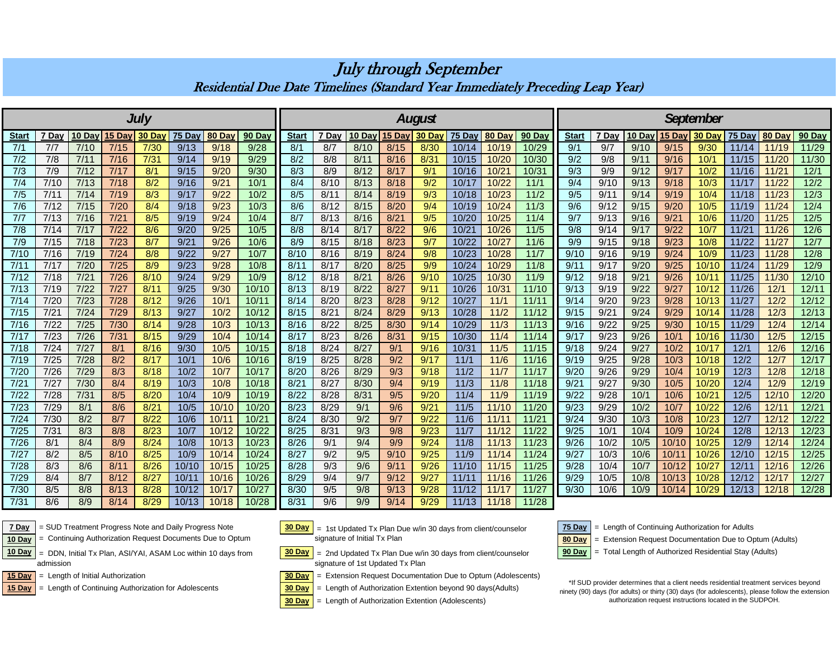| July         |       |               |      |        |        |        |        |              |       |        |        | <b>August</b> |        |        | <b>September</b> |                  |       |        |        |          |        |        |        |  |
|--------------|-------|---------------|------|--------|--------|--------|--------|--------------|-------|--------|--------|---------------|--------|--------|------------------|------------------|-------|--------|--------|----------|--------|--------|--------|--|
| <b>Start</b> | 7 Day | 10 Day 15 Day |      | 30 Day | 75 Day | 80 Day | 90 Day | <b>Start</b> | 7 Day | 10 Day | 15 Day | <b>30 Da</b>  | 75 Day | 80 Day | 90 Day           | <b>Start</b>     | 7 Day | 10 Day | 15 Day | $30$ Day | 75 Day | 80 Day | 90 Day |  |
| 7/1          | 7/7   | 7/10          | 7/15 | 7/30   | 9/13   | 9/18   | 9/28   | 8/1          | 8/7   | 8/10   | 8/15   | 8/30          | 10/14  | 10/19  | 10/29            | 9/1              | 9/7   | 9/10   | 9/15   | 9/30     | 11/14  | 11/19  | 11/29  |  |
| 7/2          | 7/8   | 7/11          | 7/16 | 7/31   | 9/14   | 9/19   | 9/29   | 8/2          | 8/8   | 8/11   | 8/16   | 8/31          | 10/15  | 10/20  | 10/30            | 9/2              | 9/8   | 9/11   | 9/16   | 10/1     | 11/15  | 11/20  | 11/30  |  |
| 7/3          | 7/9   | 7/12          | 7/17 | 8/1    | 9/15   | 9/20   | 9/30   | 8/3          | 8/9   | 8/12   | 8/17   | 9/1           | 10/16  | 10/21  | 10/31            | $\overline{9/3}$ | 9/9   | 9/12   | 9/17   | 10/2     | 11/16  | 11/21  | 12/1   |  |
| 7/4          | 7/10  | 7/13          | 7/18 | 8/2    | 9/16   | 9/21   | 10/1   | 8/4          | 8/10  | 8/13   | 8/18   | 9/2           | 10/17  | 10/22  | 11/1             | 9/4              | 9/10  | 9/13   | 9/18   | 10/3     | 11/17  | 11/22  | 12/2   |  |
| 7/5          | 7/11  | 7/14          | 7/19 | 8/3    | 9/17   | 9/22   | 10/2   | 8/5          | 8/11  | 8/14   | 8/19   | 9/3           | 10/18  | 10/23  | 11/2             | 9/5              | 9/1'  | 9/14   | 9/19   | 10/4     | 11/18  | 11/23  | 12/3   |  |
| 7/6          | 7/12  | 7/15          | 7/20 | 8/4    | 9/18   | 9/23   | 10/3   | 8/6          | 8/12  | 8/15   | 8/20   | 9/4           | 10/19  | 10/24  | 11/3             | 9/6              | 9/12  | 9/15   | 9/20   | 10/5     | 11/19  | 11/24  | 12/4   |  |
| 7/7          | 7/13  | 7/16          | 7/21 | 8/5    | 9/19   | 9/24   | 10/4   | 8/7          | 8/13  | 8/16   | 8/21   | 9/5           | 10/20  | 10/25  | 11/4             | 9/7              | 9/13  | 9/16   | 9/21   | 10/6     | 11/20  | 11/25  | $12/5$ |  |
| 7/8          | 7/14  | 7/17          | 7/22 | 8/6    | 9/20   | 9/25   | 10/5   | 8/8          | 8/14  | 8/17   | 8/22   | 9/6           | 10/21  | 10/26  | 11/5             | 9/8              | 9/14  | 9/17   | 9/22   | 10/7     | 11/21  | 11/26  | 12/6   |  |
| 7/9          | 7/15  | 7/18          | 7/23 | 8/7    | 9/21   | 9/26   | 10/6   | 8/9          | 8/15  | 8/18   | 8/23   | 9/7           | 10/22  | 10/27  | 11/6             | 9/9              | 9/15  | 9/18   | 9/23   | 10/8     | 11/22  | 11/27  | 12/7   |  |
| 7/10         | 7/16  | 7/19          | 7/24 | 8/8    | 9/22   | 9/27   | 10/7   | 8/10         | 8/16  | 8/19   | 8/24   | 9/8           | 10/23  | 10/28  | 11/7             | 9/10             | 9/16  | 9/19   | 9/24   | 10/9     | 11/23  | 11/28  | 12/8   |  |
| 7/11         | 7/17  | 7/20          | 7/25 | 8/9    | 9/23   | 9/28   | 10/8   | 8/1'         | 8/17  | 8/20   | 8/25   | 9/9           | 10/24  | 10/29  | 11/8             | 9/1              | 9/17  | 9/20   | 9/25   | 10/10    | 11/24  | 11/29  | 12/9   |  |
| 7/12         | 7/18  | 7/21          | 7/26 | 8/10   | 9/24   | 9/29   | 10/9   | 8/12         | 8/18  | 8/2    | 8/26   | 9/10          | 10/25  | 10/30  | 11/9             | 9/12             | 9/18  | 9/2    | 9/26   | 10/11    | 11/25  | 11/30  | 12/10  |  |
| 7/13         | 7/19  | 7/22          | 7/27 | 8/11   | 9/25   | 9/30   | 10/10  | 8/13         | 8/19  | 8/22   | 8/27   | 9/11          | 10/26  | 10/31  | 11/10            | 9/13             | 9/19  | 9/22   | 9/27   | 10/12    | 11/26  | 12/1   | 12/11  |  |
| 7/14         | 7/20  | 7/23          | 7/28 | 8/12   | 9/26   | 10/1   | 10/11  | 8/14         | 8/20  | 8/23   | 8/28   | 9/12          | 10/27  | 11/1   | 11/11            | 9/14             | 9/20  | 9/23   | 9/28   | 10/13    | 11/27  | 12/2   | 12/12  |  |
| 7/15         | 7/21  | $7/24$        | 7/29 | 8/13   | 9/27   | 10/2   | 10/12  | 8/15         | 8/2   | 8/24   | 8/29   | 9/13          | 10/28  | $11/2$ | 11/12            | 9/15             | 9/21  | 9/24   | 9/29   | 10/14    | 11/28  | 12/3   | 12/13  |  |
| 7/16         | 7/22  | 7/25          | 7/30 | 8/14   | 9/28   | 10/3   | 10/13  | 8/16         | 8/22  | 8/25   | 8/30   | 9/14          | 10/29  | 11/3   | 11/13            | 9/16             | 9/22  | 9/25   | 9/30   | 10/15    | 11/29  | 12/4   | 12/14  |  |
| 7/17         | 7/23  | 7/26          | 7/31 | 8/15   | 9/29   | 10/4   | 10/14  | 8/17         | 8/23  | 8/26   | 8/31   | 9/15          | 10/30  | 11/4   | 11/14            | 9/17             | 9/23  | 9/26   | 10/1   | 10/16    | 11/30  | 12/5   | 12/15  |  |
| 7/18         | 7/24  | 7/27          | 8/1  | 8/16   | 9/30   | 10/5   | 10/15  | 8/18         | 8/24  | 8/27   | 9/1    | 9/16          | 10/31  | 11/5   | 11/15            | 9/18             | 9/24  | 9/27   | 10/2   | 10/17    | 12/1   | 12/6   | 12/16  |  |
| 7/19         | 7/25  | 7/28          | 8/2  | 8/17   | 10/1   | 10/6   | 10/16  | 8/19         | 8/25  | 8/28   | 9/2    | 9/17          | 11/1   | 11/6   | 11/16            | 9/19             | 9/25  | 9/28   | 10/3   | 10/18    | 12/2   | 12/7   | 12/17  |  |
| 7/20         | 7/26  | 7/29          | 8/3  | 8/18   | 10/2   | 10/7   | 10/17  | 8/20         | 8/26  | 8/29   | 9/3    | 9/18          | 11/2   | $11/7$ | 11/17            | 9/20             | 9/26  | 9/29   | 10/4   | 10/19    | 12/3   | 12/8   | 12/18  |  |
| 7/2          | 7/27  | 7/30          | 8/4  | 8/19   | 10/3   | 10/8   | 10/18  | 8/2          | 8/27  | 8/30   | 9/4    | 9/19          | 11/3   | 11/8   | 11/18            | 9/21             | 9/27  | 9/30   | 10/5   | 10/20    | 12/4   | 12/9   | 12/19  |  |
| 7/22         | 7/28  | 7/31          | 8/5  | 8/20   | 10/4   | 10/9   | 10/19  | 8/22         | 8/28  | 8/31   | 9/5    | 9/20          | 11/4   | 11/9   | 11/19            | 9/22             | 9/28  | 10/1   | 10/6   | 10/21    | 12/5   | 12/10  | 12/20  |  |
| 7/23         | 7/29  | 8/1           | 8/6  | 8/2    | 10/5   | 10/10  | 10/20  | 8/23         | 8/29  | 9/1    | 9/6    | 9/21          | 11/5   | 11/10  | 11/20            | 9/23             | 9/29  | 10/2   | 10/7   | 10/22    | 12/6   | 12/11  | 12/21  |  |
| 7/24         | 7/30  | 8/2           | 8/7  | 8/22   | 10/6   | 10/11  | 10/21  | 8/24         | 8/30  | 9/2    | 9/7    | 9/22          | 11/6   | 11/11  | 11/21            | 9/24             | 9/30  | 10/3   | 10/8   | 10/23    | 12/7   | 12/12  | 12/22  |  |
| 7/25         | 7/31  | 8/3           | 8/8  | 8/23   | 10/7   | 10/12  | 10/22  | 8/25         | 8/31  | 9/3    | 9/8    | 9/23          | 11/7   | 11/12  | 11/22            | 9/25             | 10/1  | 10/4   | 10/9   | 10/24    | 12/8   | 12/13  | 12/23  |  |
| 7/26         | 8/1   | 8/4           | 8/9  | 8/24   | 10/8   | 10/13  | 10/23  | 8/26         | 9/1   | 9/4    | 9/9    | 9/24          | 11/8   | 11/13  | 11/23            | 9/26             | 10/2  | 10/5   | 10/10  | 10/25    | 12/9   | 12/14  | 12/24  |  |
| 7/27         | 8/2   | 8/5           | 8/10 | 8/25   | 10/9   | 10/14  | 10/24  | 8/27         | 9/2   | 9/5    | 9/10   | 9/25          | 11/9   | 11/14  | 11/24            | 9/27             | 10/3  | 10/6   | 10/11  | 10/26    | 12/10  | 12/15  | 12/25  |  |
| 7/28         | 8/3   | 8/6           | 8/11 | 8/26   | 10/10  | 10/15  | 10/25  | 8/28         | 9/3   | 9/6    | 9/1'   | 9/26          | 11/10  | 11/15  | 11/25            | 9/28             | 10/4  | 10/7   | 10/12  | 10/27    | 12/11  | 12/16  | 12/26  |  |
| 7/29         | 8/4   | 8/7           | 8/12 | 8/27   | 10/11  | 10/16  | 10/26  | 8/29         | 9/4   | 9/7    | 9/12   | 9/27          | 11/11  | 11/16  | 11/26            | 9/29             | 10/5  | 10/8   | 10/13  | 10/28    | 12/12  | 12/17  | 12/27  |  |
| 7/30         | 8/5   | 8/8           | 8/13 | 8/28   | 10/12  | 10/17  | 10/27  | 8/30         | 9/5   | 9/8    | 9/13   | 9/28          | 11/12  | 11/17  | 11/27            | 9/30             | 10/6  | 10/9   | 10/14  | 10/29    | 12/13  | 12/18  | 12/28  |  |
| 7/31         | 8/6   | 8/9           | 8/14 | 8/29   | 10/13  | 10/18  | 10/28  | 8/31         | 9/6   | 9/9    | 9/14   | 9/29          | 11/13  | 11/18  | 11/28            |                  |       |        |        |          |        |        |        |  |

July through September Residential Due Date Timelines (Standard Year Immediately Preceding Leap Year)



**7 Day** | SUD Treatment Progress Note and Daily Progress Note | 30 Day | 2 1st Updated Tx Plan Due w/in 30 days from client/counselor | 75 Day | = Length of Continuing Authorization for Adults = Continuing Authorization Request Documents Due to Optum









**15 Day** = Length of Initial Authorization **30 Day** = Extension Request Documentation Due to Optum (Adolescents)



15 Day = Length of Continuing Authorization for Adolescents **30 Day** = Length of Authorization Extention beyond 90 days(Adults)

**30 Day** = Length of Authorization Extention (Adolescents)